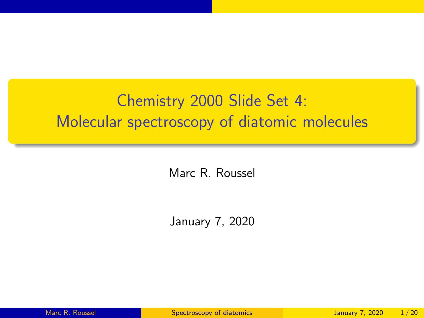# <span id="page-0-0"></span>Chemistry 2000 Slide Set 4: Molecular spectroscopy of diatomic molecules

Marc R. Roussel

January 7, 2020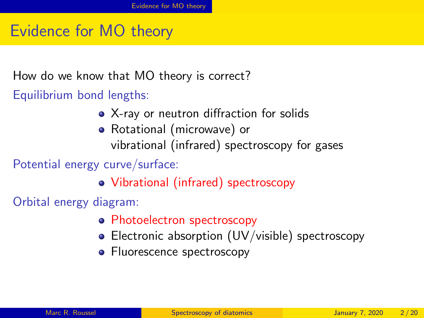# <span id="page-1-0"></span>Evidence for MO theory

How do we know that MO theory is correct?

Equilibrium bond lengths:

- X-ray or neutron diffraction for solids
- Rotational (microwave) or vibrational (infrared) spectroscopy for gases

Potential energy curve/surface:

Vibrational (infrared) spectroscopy

Orbital energy diagram:

- **Photoelectron spectroscopy**
- Electronic absorption (UV/visible) spectroscopy
- Fluorescence spectroscopy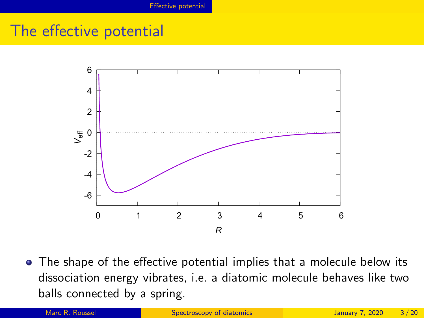### <span id="page-2-0"></span>The effective potential



• The shape of the effective potential implies that a molecule below its dissociation energy vibrates, i.e. a diatomic molecule behaves like two balls connected by a spring.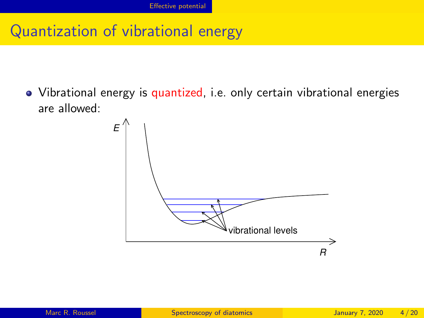### Quantization of vibrational energy

Vibrational energy is quantized, i.e. only certain vibrational energies are allowed:

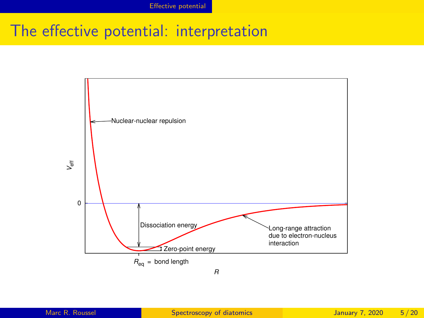# The effective potential: interpretation

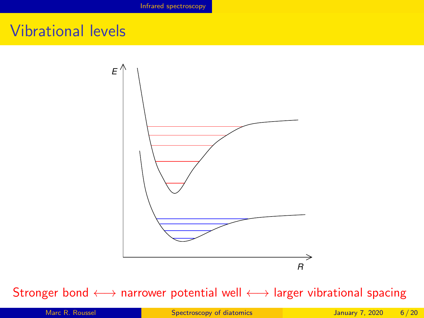### <span id="page-5-0"></span>Vibrational levels



#### Stronger bond ←→ narrower potential well ←→ larger vibrational spacing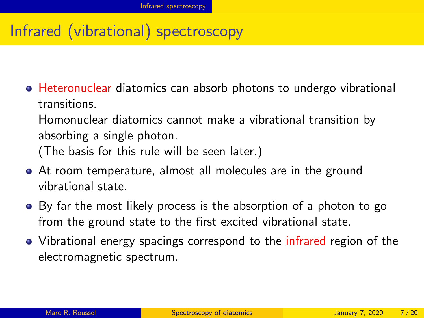# Infrared (vibrational) spectroscopy

Heteronuclear diatomics can absorb photons to undergo vibrational transitions. Homonuclear diatomics cannot make a vibrational transition by absorbing a single photon.

(The basis for this rule will be seen later.)

- At room temperature, almost all molecules are in the ground vibrational state.
- By far the most likely process is the absorption of a photon to go from the ground state to the first excited vibrational state.
- Vibrational energy spacings correspond to the infrared region of the electromagnetic spectrum.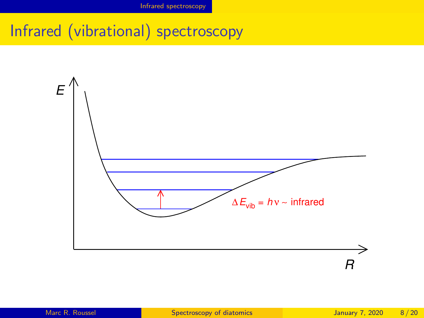# Infrared (vibrational) spectroscopy

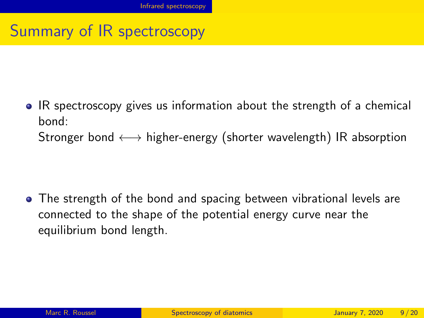# Summary of IR spectroscopy

IR spectroscopy gives us information about the strength of a chemical bond: Stronger bond  $\longleftrightarrow$  higher-energy (shorter wavelength) IR absorption

• The strength of the bond and spacing between vibrational levels are connected to the shape of the potential energy curve near the equilibrium bond length.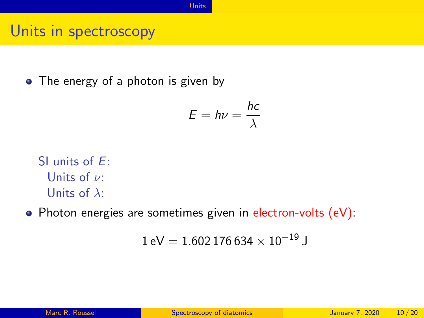[Units](#page-9-0)

#### <span id="page-9-0"></span>Units in spectroscopy

• The energy of a photon is given by

$$
E = h\nu = \frac{hc}{\lambda}
$$

SI units of E: Units of  $\nu$ : Units of  $\lambda$ :

• Photon energies are sometimes given in electron-volts (eV):

$$
1\,\text{eV} = 1.602\,176\,634\times 10^{-19}\,\text{J}
$$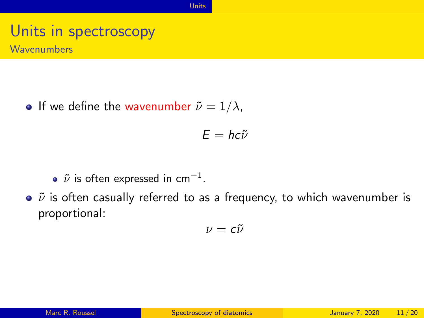[Units](#page-9-0)

# Units in spectroscopy

**Wavenumbers** 

**If we define the wavenumber**  $\tilde{\nu} = 1/\lambda$ ,

$$
E = hc\tilde{\nu}
$$

- $\tilde{\nu}$  is often expressed in cm $^{-1}.$
- $\bullet$   $\tilde{\nu}$  is often casually referred to as a frequency, to which wavenumber is proportional:

$$
\nu=c\tilde{\nu}
$$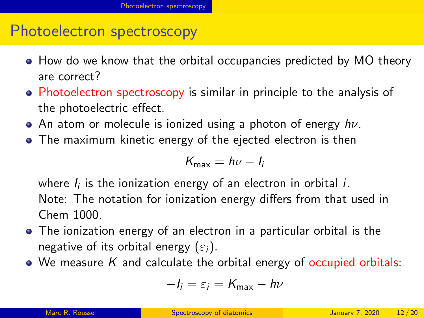#### <span id="page-11-0"></span>Photoelectron spectroscopy

- How do we know that the orbital occupancies predicted by MO theory are correct?
- Photoelectron spectroscopy is similar in principle to the analysis of the photoelectric effect.
- An atom or molecule is ionized using a photon of energy  $h\nu$ .
- The maximum kinetic energy of the ejected electron is then

$$
K_{\max}=h\nu-l_i
$$

where  $I_i$  is the ionization energy of an electron in orbital  $i$ .

Note: The notation for ionization energy differs from that used in Chem 1000.

- The ionization energy of an electron in a particular orbital is the negative of its orbital energy  $(\varepsilon_i)$ .
- $\bullet$  We measure K and calculate the orbital energy of occupied orbitals:

$$
-I_i = \varepsilon_i = K_{\text{max}} - h\nu
$$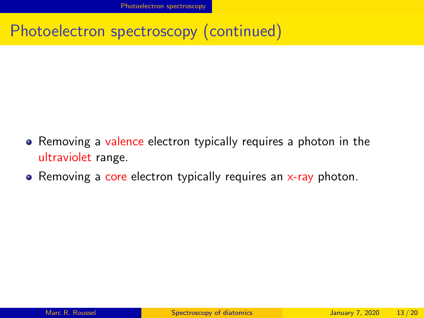Photoelectron spectroscopy (continued)

- Removing a valence electron typically requires a photon in the ultraviolet range.
- Removing a core electron typically requires an  $x$ -ray photon.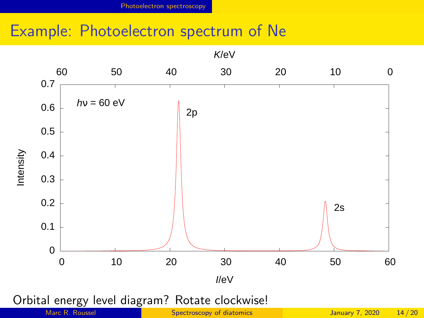#### Example: Photoelectron spectrum of Ne

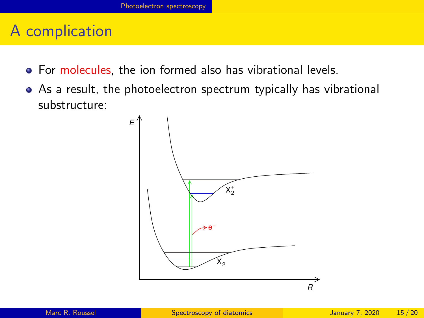### A complication

- For molecules, the ion formed also has vibrational levels.
- As a result, the photoelectron spectrum typically has vibrational substructure:

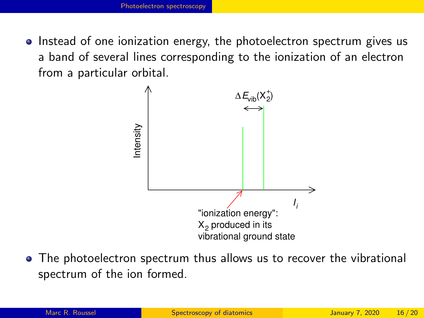• Instead of one ionization energy, the photoelectron spectrum gives us a band of several lines corresponding to the ionization of an electron from a particular orbital.



• The photoelectron spectrum thus allows us to recover the vibrational spectrum of the ion formed.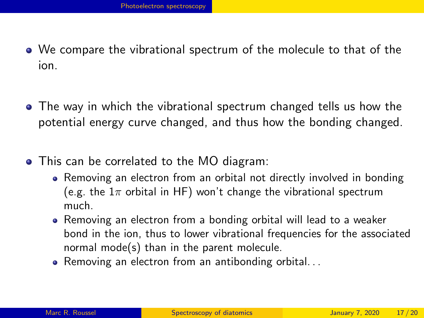- We compare the vibrational spectrum of the molecule to that of the ion.
- The way in which the vibrational spectrum changed tells us how the potential energy curve changed, and thus how the bonding changed.
- This can be correlated to the MO diagram:
	- Removing an electron from an orbital not directly involved in bonding (e.g. the  $1\pi$  orbital in HF) won't change the vibrational spectrum much.
	- Removing an electron from a bonding orbital will lead to a weaker bond in the ion, thus to lower vibrational frequencies for the associated normal mode(s) than in the parent molecule.
	- Removing an electron from an antibonding orbital...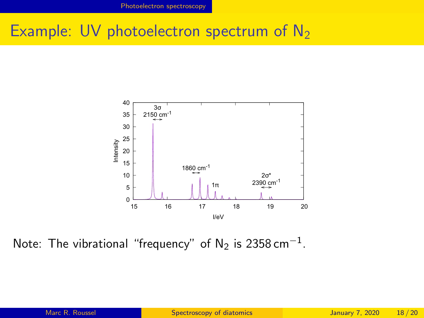### Example: UV photoelectron spectrum of  $N_2$



Note: The vibrational "frequency" of  $\mathsf{N}_2$  is 2358 cm $^{-1}$ .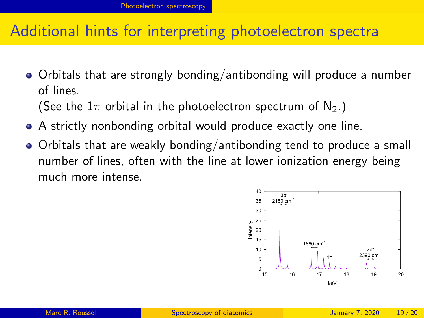#### Additional hints for interpreting photoelectron spectra

Orbitals that are strongly bonding/antibonding will produce a number of lines.

(See the  $1\pi$  orbital in the photoelectron spectrum of N<sub>2</sub>.)

- A strictly nonbonding orbital would produce exactly one line.
- Orbitals that are weakly bonding/antibonding tend to produce a small number of lines, often with the line at lower ionization energy being much more intense.